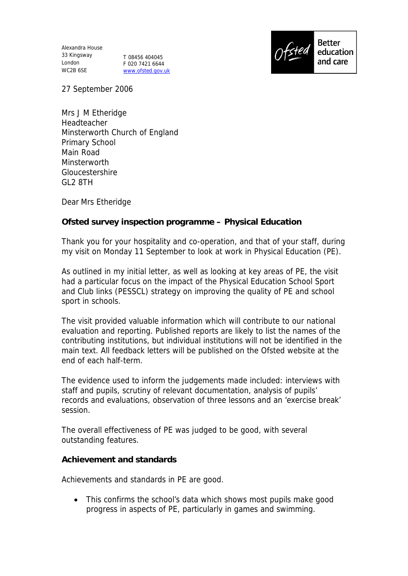Alexandra House 33 Kingsway London WC2B 6SE

T 08456 404045 F 020 7421 6644 www.ofsted.gov.uk



27 September 2006

Mrs J M Etheridge Headteacher Minsterworth Church of England Primary School Main Road Minsterworth Gloucestershire GL2 8TH

Dear Mrs Etheridge

**Ofsted survey inspection programme – Physical Education** 

Thank you for your hospitality and co-operation, and that of your staff, during my visit on Monday 11 September to look at work in Physical Education (PE).

As outlined in my initial letter, as well as looking at key areas of PE, the visit had a particular focus on the impact of the Physical Education School Sport and Club links (PESSCL) strategy on improving the quality of PE and school sport in schools.

The visit provided valuable information which will contribute to our national evaluation and reporting. Published reports are likely to list the names of the contributing institutions, but individual institutions will not be identified in the main text. All feedback letters will be published on the Ofsted website at the end of each half-term.

The evidence used to inform the judgements made included: interviews with staff and pupils, scrutiny of relevant documentation, analysis of pupils' records and evaluations, observation of three lessons and an 'exercise break' session.

The overall effectiveness of PE was judged to be good, with several outstanding features.

**Achievement and standards** 

Achievements and standards in PE are good.

 This confirms the school's data which shows most pupils make good progress in aspects of PE, particularly in games and swimming.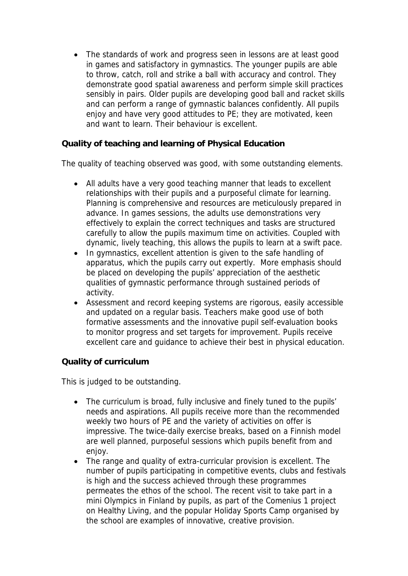• The standards of work and progress seen in lessons are at least good in games and satisfactory in gymnastics. The younger pupils are able to throw, catch, roll and strike a ball with accuracy and control. They demonstrate good spatial awareness and perform simple skill practices sensibly in pairs. Older pupils are developing good ball and racket skills and can perform a range of gymnastic balances confidently. All pupils enjoy and have very good attitudes to PE; they are motivated, keen and want to learn. Their behaviour is excellent.

**Quality of teaching and learning of Physical Education**

The quality of teaching observed was good, with some outstanding elements.

- All adults have a very good teaching manner that leads to excellent relationships with their pupils and a purposeful climate for learning. Planning is comprehensive and resources are meticulously prepared in advance. In games sessions, the adults use demonstrations very effectively to explain the correct techniques and tasks are structured carefully to allow the pupils maximum time on activities. Coupled with dynamic, lively teaching, this allows the pupils to learn at a swift pace.
- In gymnastics, excellent attention is given to the safe handling of apparatus, which the pupils carry out expertly. More emphasis should be placed on developing the pupils' appreciation of the aesthetic qualities of gymnastic performance through sustained periods of activity.
- Assessment and record keeping systems are rigorous, easily accessible and updated on a regular basis. Teachers make good use of both formative assessments and the innovative pupil self-evaluation books to monitor progress and set targets for improvement. Pupils receive excellent care and guidance to achieve their best in physical education.

**Quality of curriculum** 

This is judged to be outstanding.

- The curriculum is broad, fully inclusive and finely tuned to the pupils' needs and aspirations. All pupils receive more than the recommended weekly two hours of PE and the variety of activities on offer is impressive. The twice-daily exercise breaks, based on a Finnish model are well planned, purposeful sessions which pupils benefit from and enjoy.
- The range and quality of extra-curricular provision is excellent. The number of pupils participating in competitive events, clubs and festivals is high and the success achieved through these programmes permeates the ethos of the school. The recent visit to take part in a mini Olympics in Finland by pupils, as part of the Comenius 1 project on Healthy Living, and the popular Holiday Sports Camp organised by the school are examples of innovative, creative provision.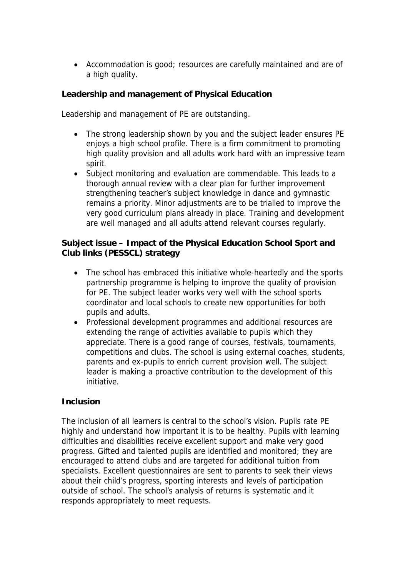Accommodation is good; resources are carefully maintained and are of a high quality.

**Leadership and management of Physical Education**

Leadership and management of PE are outstanding.

- The strong leadership shown by you and the subject leader ensures PE enjoys a high school profile. There is a firm commitment to promoting high quality provision and all adults work hard with an impressive team spirit.
- Subject monitoring and evaluation are commendable. This leads to a thorough annual review with a clear plan for further improvement strengthening teacher's subject knowledge in dance and gymnastic remains a priority. Minor adjustments are to be trialled to improve the very good curriculum plans already in place. Training and development are well managed and all adults attend relevant courses regularly.

**Subject issue – Impact of the Physical Education School Sport and Club links (PESSCL) strategy**

- The school has embraced this initiative whole-heartedly and the sports partnership programme is helping to improve the quality of provision for PE. The subject leader works very well with the school sports coordinator and local schools to create new opportunities for both pupils and adults.
- Professional development programmes and additional resources are extending the range of activities available to pupils which they appreciate. There is a good range of courses, festivals, tournaments, competitions and clubs. The school is using external coaches, students, parents and ex-pupils to enrich current provision well. The subject leader is making a proactive contribution to the development of this initiative.

## **Inclusion**

The inclusion of all learners is central to the school's vision. Pupils rate PE highly and understand how important it is to be healthy. Pupils with learning difficulties and disabilities receive excellent support and make very good progress. Gifted and talented pupils are identified and monitored; they are encouraged to attend clubs and are targeted for additional tuition from specialists. Excellent questionnaires are sent to parents to seek their views about their child's progress, sporting interests and levels of participation outside of school. The school's analysis of returns is systematic and it responds appropriately to meet requests.